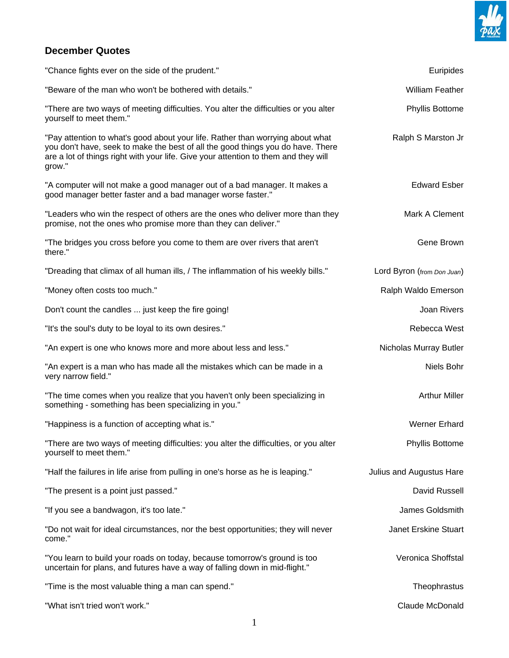

## **December Quotes**

| "Chance fights ever on the side of the prudent."                                                                                                                                                                                                                   | Euripides                  |
|--------------------------------------------------------------------------------------------------------------------------------------------------------------------------------------------------------------------------------------------------------------------|----------------------------|
| "Beware of the man who won't be bothered with details."                                                                                                                                                                                                            | <b>William Feather</b>     |
| "There are two ways of meeting difficulties. You alter the difficulties or you alter<br>yourself to meet them."                                                                                                                                                    | <b>Phyllis Bottome</b>     |
| "Pay attention to what's good about your life. Rather than worrying about what<br>you don't have, seek to make the best of all the good things you do have. There<br>are a lot of things right with your life. Give your attention to them and they will<br>grow." | Ralph S Marston Jr         |
| "A computer will not make a good manager out of a bad manager. It makes a<br>good manager better faster and a bad manager worse faster."                                                                                                                           | <b>Edward Esber</b>        |
| "Leaders who win the respect of others are the ones who deliver more than they<br>promise, not the ones who promise more than they can deliver."                                                                                                                   | Mark A Clement             |
| "The bridges you cross before you come to them are over rivers that aren't<br>there."                                                                                                                                                                              | Gene Brown                 |
| "Dreading that climax of all human ills, / The inflammation of his weekly bills."                                                                                                                                                                                  | Lord Byron (from Don Juan) |
| "Money often costs too much."                                                                                                                                                                                                                                      | Ralph Waldo Emerson        |
| Don't count the candles  just keep the fire going!                                                                                                                                                                                                                 | Joan Rivers                |
| "It's the soul's duty to be loyal to its own desires."                                                                                                                                                                                                             | Rebecca West               |
| "An expert is one who knows more and more about less and less."                                                                                                                                                                                                    | Nicholas Murray Butler     |
| "An expert is a man who has made all the mistakes which can be made in a<br>very narrow field."                                                                                                                                                                    | Niels Bohr                 |
| "The time comes when you realize that you haven't only been specializing in<br>something - something has been specializing in you."                                                                                                                                | <b>Arthur Miller</b>       |
| "Happiness is a function of accepting what is."                                                                                                                                                                                                                    | <b>Werner Erhard</b>       |
| "There are two ways of meeting difficulties: you alter the difficulties, or you alter<br>yourself to meet them."                                                                                                                                                   | <b>Phyllis Bottome</b>     |
| "Half the failures in life arise from pulling in one's horse as he is leaping."                                                                                                                                                                                    | Julius and Augustus Hare   |
| "The present is a point just passed."                                                                                                                                                                                                                              | David Russell              |
| "If you see a bandwagon, it's too late."                                                                                                                                                                                                                           | James Goldsmith            |
| "Do not wait for ideal circumstances, nor the best opportunities; they will never<br>come."                                                                                                                                                                        | Janet Erskine Stuart       |
| "You learn to build your roads on today, because tomorrow's ground is too<br>uncertain for plans, and futures have a way of falling down in mid-flight."                                                                                                           | Veronica Shoffstal         |
| "Time is the most valuable thing a man can spend."                                                                                                                                                                                                                 | Theophrastus               |
| "What isn't tried won't work."                                                                                                                                                                                                                                     | Claude McDonald            |